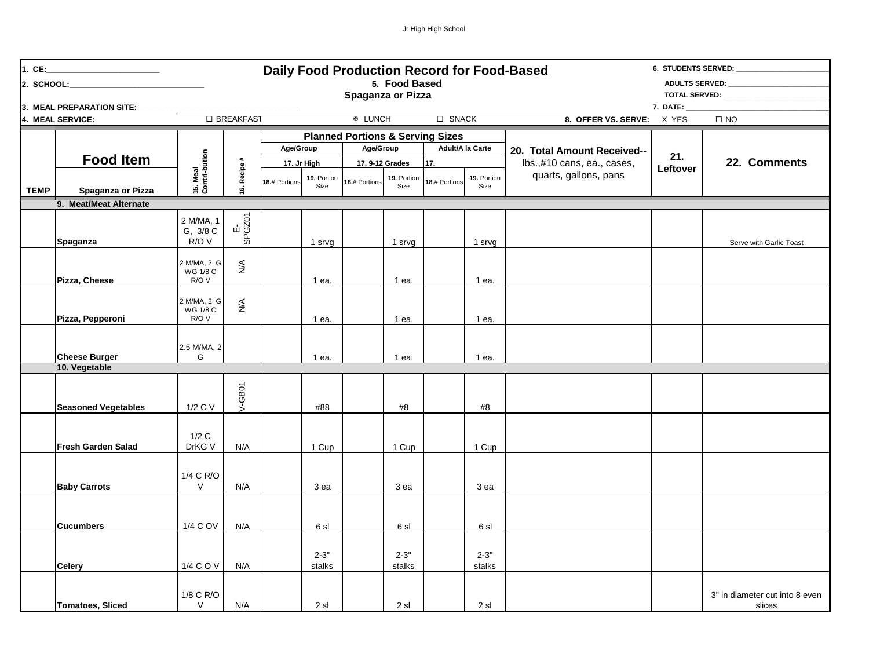| 1. $CE:$                                                     | <u> 1989 - Johann Barbara, martin a</u> |                                  |                              |                                |                     |                                             |                    |                       |                       |                                              | 6. STUDENTS SERVED: |                                          |  |  |
|--------------------------------------------------------------|-----------------------------------------|----------------------------------|------------------------------|--------------------------------|---------------------|---------------------------------------------|--------------------|-----------------------|-----------------------|----------------------------------------------|---------------------|------------------------------------------|--|--|
| Daily Food Production Record for Food-Based<br>5. Food Based |                                         |                                  |                              |                                |                     |                                             |                    |                       | <b>ADULTS SERVED:</b> |                                              |                     |                                          |  |  |
|                                                              |                                         |                                  |                              |                                | Spaganza or Pizza   |                                             |                    |                       | TOTAL SERVED:         |                                              |                     |                                          |  |  |
|                                                              | 3. MEAL PREPARATION SITE:               |                                  |                              |                                |                     |                                             |                    |                       |                       |                                              | 7. DATE: $\_$       |                                          |  |  |
| □ BREAKFAST<br>4. MEAL SERVICE:                              |                                         |                                  |                              | $\Box$ SNACK<br><b>® LUNCH</b> |                     |                                             |                    |                       |                       | 8. OFFER VS. SERVE:<br>X YES<br>$\square$ NO |                     |                                          |  |  |
|                                                              |                                         |                                  | $\ddagger$<br>16. Recipe     |                                |                     | <b>Planned Portions &amp; Serving Sizes</b> |                    |                       |                       |                                              |                     |                                          |  |  |
|                                                              |                                         | 15. Meal<br>Contri-bution        |                              | Age/Group                      |                     | Age/Group                                   |                    | Adult/A la Carte      |                       | 20. Total Amount Received--                  | 21.                 |                                          |  |  |
|                                                              | <b>Food Item</b>                        |                                  |                              |                                | 17. Jr High         |                                             | 17.9-12 Grades     | 17.                   |                       | lbs.,#10 cans, ea., cases,                   | Leftover            | 22. Comments                             |  |  |
|                                                              | Spaganza or Pizza                       |                                  |                              | 18.# Portions                  | 19. Portion<br>Size | 18.# Portions                               | 19. Portion        | 18.# Portions<br>Size | 19. Portion           | quarts, gallons, pans                        |                     |                                          |  |  |
| <b>TEMP</b>                                                  |                                         |                                  |                              |                                |                     |                                             | Size               |                       |                       |                                              |                     |                                          |  |  |
|                                                              | 9. Meat/Meat Alternate                  |                                  |                              |                                |                     |                                             |                    |                       |                       |                                              |                     |                                          |  |  |
|                                                              | Spaganza                                | 2 M/MA, 1<br>G, 3/8 C<br>R/O V   | E-<br>SPGZ01                 |                                | 1 srvg              |                                             | 1 srvg             |                       | 1 srvg                |                                              |                     | Serve with Garlic Toast                  |  |  |
|                                                              |                                         | 2 M/MA, 2 G<br>WG 1/8 C          | $\stackrel{\triangle}{\geq}$ |                                |                     |                                             |                    |                       |                       |                                              |                     |                                          |  |  |
|                                                              | Pizza, Cheese                           | R/O V                            |                              |                                | 1 ea.               |                                             | 1 ea.              |                       | 1 ea.                 |                                              |                     |                                          |  |  |
|                                                              | Pizza, Pepperoni                        | 2 M/MA, 2 G<br>WG 1/8 C<br>R/O V | $\lessgtr$                   |                                | 1 ea.               |                                             | 1 ea.              |                       | 1 ea.                 |                                              |                     |                                          |  |  |
|                                                              |                                         |                                  |                              |                                |                     |                                             |                    |                       |                       |                                              |                     |                                          |  |  |
|                                                              | <b>Cheese Burger</b>                    | 2.5 M/MA, 2<br>G                 |                              |                                | 1 ea.               |                                             | 1 ea.              |                       | 1 ea.                 |                                              |                     |                                          |  |  |
|                                                              | 10. Vegetable                           |                                  |                              |                                |                     |                                             |                    |                       |                       |                                              |                     |                                          |  |  |
|                                                              | <b>Seasoned Vegetables</b>              | 1/2 C V                          | $V-\text{GBO}$ 1             |                                | #88                 |                                             | #8                 |                       | #8                    |                                              |                     |                                          |  |  |
|                                                              | Fresh Garden Salad                      | 1/2C<br>DrKG V                   | N/A                          |                                | 1 Cup               |                                             | 1 Cup              |                       | 1 Cup                 |                                              |                     |                                          |  |  |
|                                                              | <b>Baby Carrots</b>                     | 1/4 C R/O<br>V                   | N/A                          |                                | 3 ea                |                                             | 3 ea               |                       | 3 ea                  |                                              |                     |                                          |  |  |
|                                                              |                                         |                                  |                              |                                |                     |                                             |                    |                       |                       |                                              |                     |                                          |  |  |
|                                                              | <b>Cucumbers</b>                        | 1/4 C OV                         | N/A                          |                                | 6 sl                |                                             | 6 sl               |                       | 6 sl                  |                                              |                     |                                          |  |  |
|                                                              | <b>Celery</b>                           | 1/4 C O V                        | N/A                          |                                | $2 - 3"$<br>stalks  |                                             | $2 - 3"$<br>stalks |                       | $2 - 3"$<br>stalks    |                                              |                     |                                          |  |  |
|                                                              | <b>Tomatoes, Sliced</b>                 | 1/8 C R/O<br>$\vee$              | N/A                          |                                | 2 sl                |                                             | 2 sl               |                       | 2 sl                  |                                              |                     | 3" in diameter cut into 8 even<br>slices |  |  |